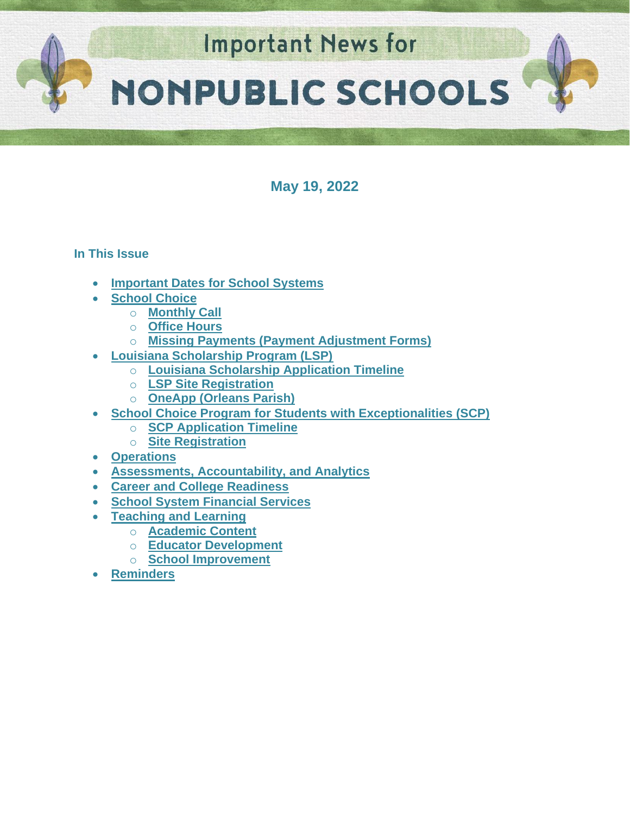

**May 19, 2022**

## **In This Issue**

- **[Important Dates for School Systems](#page-1-0)**
- **[School Choice](#page-2-0)**
	- o **[Monthly Call](#page-2-0)**
	- o **[Office Hours](#page-2-1)**
	- o **[Missing Payments \(Payment Adjustment Forms\)](#page-2-2)**
- **[Louisiana Scholarship Program \(LSP\)](#page-3-0)**
	- o **[Louisiana Scholarship Application Timeline](#page-3-0)**
	- o **[LSP Site Registration](#page-3-1)**
	- o **[OneApp \(Orleans Parish\)](#page-4-0)**
- **[School Choice Program for Students with Exceptionalities \(SCP\)](#page-4-1)**
	- o **[SCP Application Timeline](#page-4-1)**
	- o **[Site Registration](#page-5-0)**
- **Operations**
- **[Assessments, Accountability, and Analytics](#page-5-1)**
- **[Career and College Readiness](#page-7-0)**
- **[School System Financial Services](#page-7-1)**
- **[Teaching and Learning](#page-7-2)**
	- o **[Academic Content](#page-13-0)**
	- o **[Educator Development](#page-13-1)**
	- o **[School Improvement](#page-11-0)**
- **[Reminders](#page-12-0)**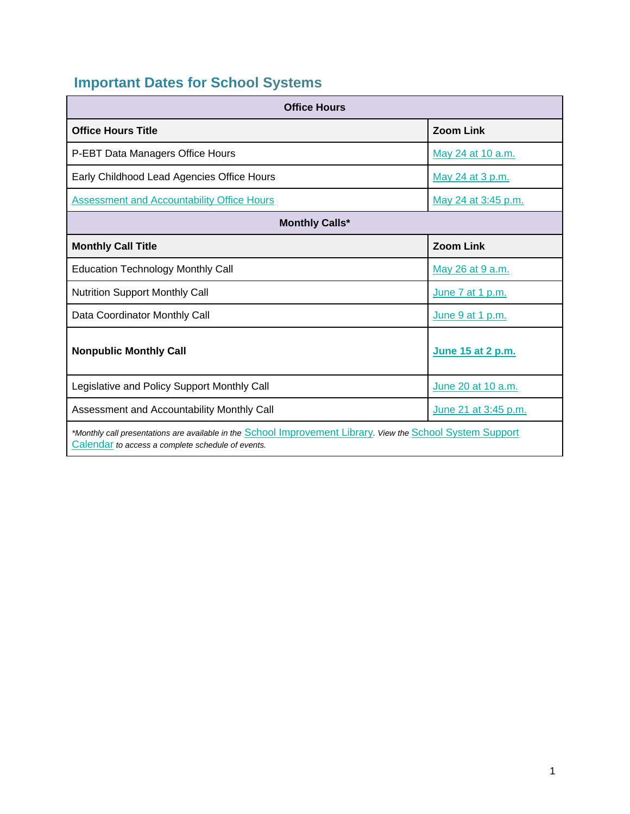# <span id="page-1-0"></span>**Important Dates for School Systems**

| <b>Office Hours</b>                                                                                                                                              |                      |  |  |  |
|------------------------------------------------------------------------------------------------------------------------------------------------------------------|----------------------|--|--|--|
| <b>Office Hours Title</b>                                                                                                                                        | <b>Zoom Link</b>     |  |  |  |
| P-EBT Data Managers Office Hours                                                                                                                                 | May 24 at 10 a.m.    |  |  |  |
| Early Childhood Lead Agencies Office Hours                                                                                                                       | May 24 at 3 p.m.     |  |  |  |
| <b>Assessment and Accountability Office Hours</b>                                                                                                                | May 24 at 3:45 p.m.  |  |  |  |
| <b>Monthly Calls*</b>                                                                                                                                            |                      |  |  |  |
| <b>Monthly Call Title</b>                                                                                                                                        | <b>Zoom Link</b>     |  |  |  |
| <b>Education Technology Monthly Call</b>                                                                                                                         | May 26 at 9 a.m.     |  |  |  |
| <b>Nutrition Support Monthly Call</b>                                                                                                                            | June 7 at 1 p.m.     |  |  |  |
| Data Coordinator Monthly Call                                                                                                                                    | June 9 at 1 p.m.     |  |  |  |
| <b>Nonpublic Monthly Call</b>                                                                                                                                    | June 15 at 2 p.m.    |  |  |  |
| Legislative and Policy Support Monthly Call                                                                                                                      | June 20 at 10 a.m.   |  |  |  |
| Assessment and Accountability Monthly Call                                                                                                                       | June 21 at 3:45 p.m. |  |  |  |
| *Monthly call presentations are available in the School Improvement Library. View the School System Support<br>Calendar to access a complete schedule of events. |                      |  |  |  |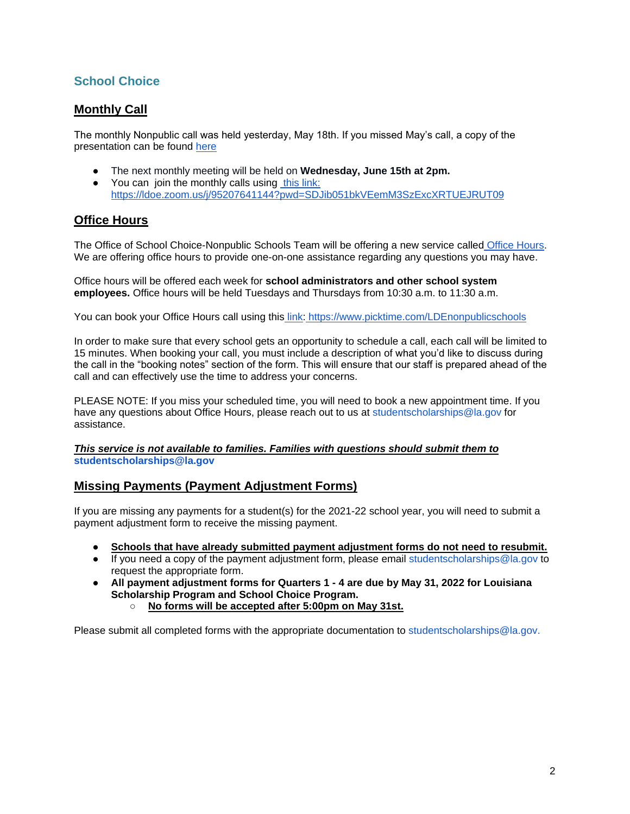## **School Choice**

## <span id="page-2-0"></span>**Monthly Call**

The monthly Nonpublic call was held yesterday, May 18th. If you missed May's call, a copy of the presentation can be found [here](https://louisianabelieves.com/docs/default-source/district-support/nonpublic-monthly-call-may-2022.pdf)

- The next monthly meeting will be held on **Wednesday, June 15th at 2pm.**
- You can join the monthly calls using [this link:](https://ldoe.zoom.us/j/95207641144?pwd=SDJib051bkVEemM3SzExcXRTUEJRUT09) <https://ldoe.zoom.us/j/95207641144?pwd=SDJib051bkVEemM3SzExcXRTUEJRUT09>

## <span id="page-2-1"></span>**Office Hours**

The Office of School Choice-Nonpublic Schools Team will be offering a new service called [Office Hours.](https://www.picktime.com/LDEnonpublicschools) We are offering office hours to provide one-on-one assistance regarding any questions you may have.

Office hours will be offered each week for **school administrators and other school system employees.** Office hours will be held Tuesdays and Thursdays from 10:30 a.m. to 11:30 a.m.

You can book your Office Hours call using this [link:](https://www.picktime.com/LDEnonpublicschools) <https://www.picktime.com/LDEnonpublicschools>

In order to make sure that every school gets an opportunity to schedule a call, each call will be limited to 15 minutes. When booking your call, you must include a description of what you'd like to discuss during the call in the "booking notes" section of the form. This will ensure that our staff is prepared ahead of the call and can effectively use the time to address your concerns.

PLEASE NOTE: If you miss your scheduled time, you will need to book a new appointment time. If you have any questions about Office Hours, please reach out to us at studentscholarships@la.gov for assistance.

#### *This service is not available to families. Families with questions should submit them to*  **studentscholarships@la.gov**

### <span id="page-2-2"></span>**Missing Payments (Payment Adjustment Forms)**

If you are missing any payments for a student(s) for the 2021-22 school year, you will need to submit a payment adjustment form to receive the missing payment.

- Schools that have already submitted payment adjustment forms do not need to resubmit.
- If you need a copy of the payment adjustment form, please email studentscholarships@la.gov to request the appropriate form.
- **All payment adjustment forms for Quarters 1 - 4 are due by May 31, 2022 for Louisiana Scholarship Program and School Choice Program.**
	- **No forms will be accepted after 5:00pm on May 31st.**

Please submit all completed forms with the appropriate documentation to studentscholarships@la.gov.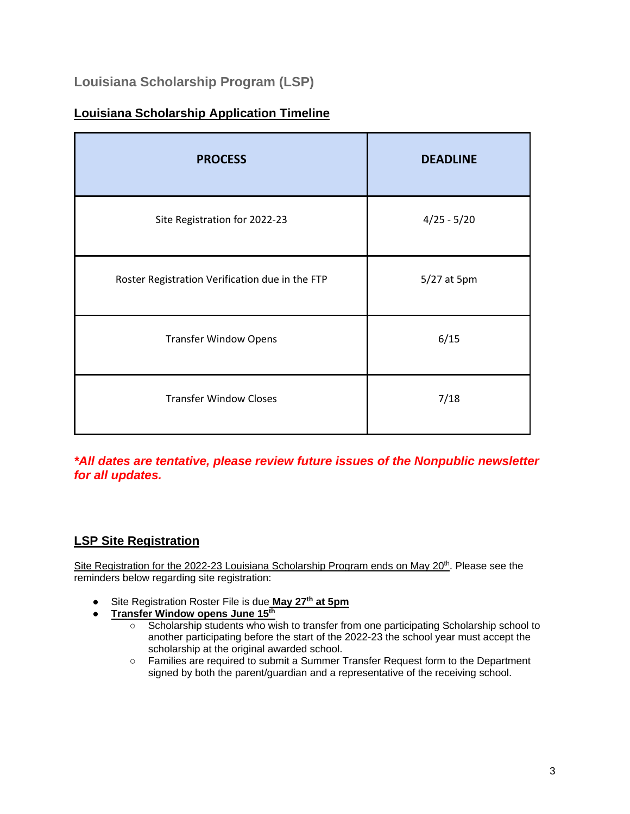## **Louisiana Scholarship Program (LSP)**

## <span id="page-3-0"></span>**Louisiana Scholarship Application Timeline**

| <b>PROCESS</b>                                  | <b>DEADLINE</b> |  |
|-------------------------------------------------|-----------------|--|
| Site Registration for 2022-23                   | $4/25 - 5/20$   |  |
| Roster Registration Verification due in the FTP | 5/27 at 5pm     |  |
| <b>Transfer Window Opens</b>                    | 6/15            |  |
| <b>Transfer Window Closes</b>                   | 7/18            |  |

*\*All dates are tentative, please review future issues of the Nonpublic newsletter for all updates.*

## <span id="page-3-1"></span>**LSP Site Registration**

Site Registration for the 2022-23 Louisiana Scholarship Program ends on May 20<sup>th</sup>. Please see the reminders below regarding site registration:

- Site Registration Roster File is due **May 27th at 5pm**
- **Transfer Window opens June 15th**
	- Scholarship students who wish to transfer from one participating Scholarship school to another participating before the start of the 2022-23 the school year must accept the scholarship at the original awarded school.
	- Families are required to submit a Summer Transfer Request form to the Department signed by both the parent/guardian and a representative of the receiving school.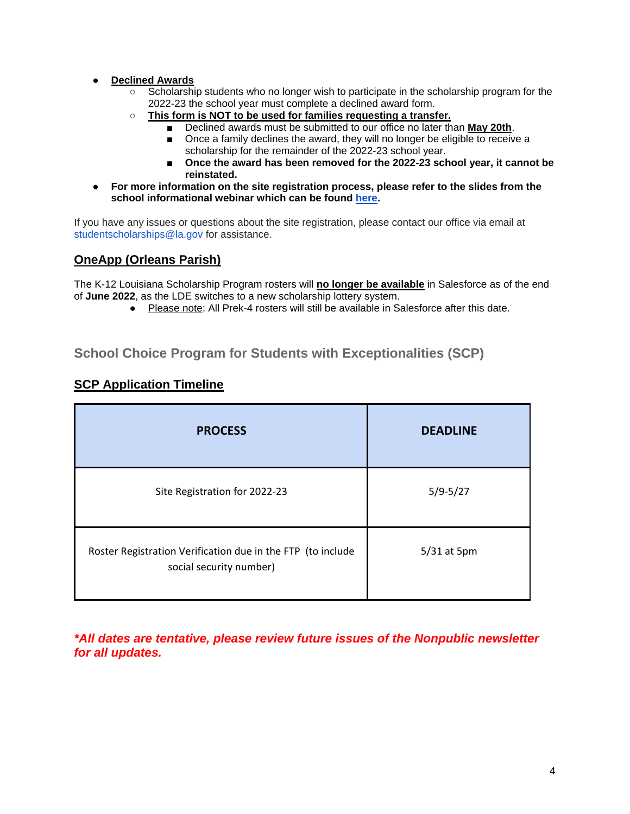#### ● **Declined Awards**

- Scholarship students who no longer wish to participate in the scholarship program for the 2022-23 the school year must complete a declined award form.
- **This form is NOT to be used for families requesting a transfer.**
	- Declined awards must be submitted to our office no later than **May 20th**.
		- Once a family declines the award, they will no longer be eligible to receive a scholarship for the remainder of the 2022-23 school year.
		- Once the award has been removed for the 2022-23 school year, it cannot be **reinstated.**
- **For more information on the site registration process, please refer to the slides from the school informational webinar which can be found [here.](https://www.louisianabelieves.com/docs/default-source/district-support/school-information-webinar---lsp-registration-process-4-11-22.pdf)**

If you have any issues or questions about the site registration, please contact our office via email at studentscholarships@la.gov for assistance.

## <span id="page-4-0"></span>**OneApp (Orleans Parish)**

The K-12 Louisiana Scholarship Program rosters will **no longer be available** in Salesforce as of the end of **June 2022**, as the LDE switches to a new scholarship lottery system.

● Please note: All Prek-4 rosters will still be available in Salesforce after this date.

## **School Choice Program for Students with Exceptionalities (SCP)**

| <b>PROCESS</b>                                                                         | <b>DEADLINE</b> |
|----------------------------------------------------------------------------------------|-----------------|
| Site Registration for 2022-23                                                          | $5/9 - 5/27$    |
| Roster Registration Verification due in the FTP (to include<br>social security number) | 5/31 at 5pm     |

### <span id="page-4-1"></span>**SCP Application Timeline**

*\*All dates are tentative, please review future issues of the Nonpublic newsletter for all updates.*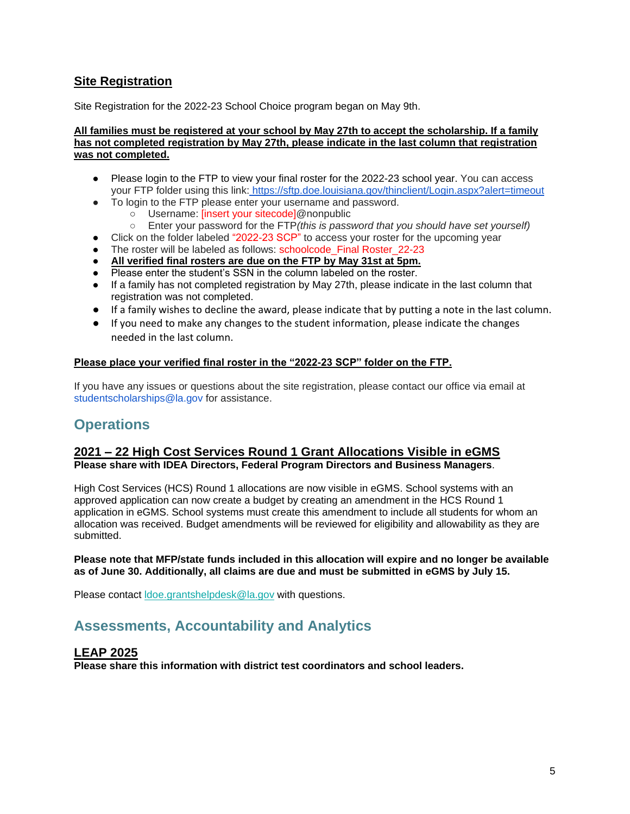## <span id="page-5-0"></span>**Site Registration**

Site Registration for the 2022-23 School Choice program began on May 9th.

#### **All families must be registered at your school by May 27th to accept the scholarship. If a family has not completed registration by May 27th, please indicate in the last column that registration was not completed.**

- Please login to the FTP to view your final roster for the 2022-23 school year. You can access your FTP folder using this link: <https://sftp.doe.louisiana.gov/thinclient/Login.aspx?alert=timeout>
- To login to the FTP please enter your username and password.
	- Username: [insert your sitecode]@nonpublic
	- Enter your password for the FTP*(this is password that you should have set yourself)*
- Click on the folder labeled "2022-23 SCP" to access your roster for the upcoming year
- The roster will be labeled as follows: schoolcode\_Final Roster\_22-23
- **All verified final rosters are due on the FTP by May 31st at 5pm.**
- Please enter the student's SSN in the column labeled on the roster.
- If a family has not completed registration by May 27th, please indicate in the last column that registration was not completed.
- If a family wishes to decline the award, please indicate that by putting a note in the last column.
- If you need to make any changes to the student information, please indicate the changes needed in the last column.

#### **Please place your verified final roster in the "2022-23 SCP" folder on the FTP.**

If you have any issues or questions about the site registration, please contact our office via email at studentscholarships@la.gov for assistance.

## **Operations**

#### **2021 – 22 High Cost Services Round 1 Grant Allocations Visible in eGMS Please share with IDEA Directors, Federal Program Directors and Business Managers**.

High Cost Services (HCS) Round 1 allocations are now visible in eGMS. School systems with an approved application can now create a budget by creating an amendment in the HCS Round 1 application in eGMS. School systems must create this amendment to include all students for whom an allocation was received. Budget amendments will be reviewed for eligibility and allowability as they are submitted.

#### **Please note that MFP/state funds included in this allocation will expire and no longer be available as of June 30. Additionally, all claims are due and must be submitted in eGMS by July 15.**

Please contact [ldoe.grantshelpdesk@la.gov](mailto:ldoe.grantshelpdesk@la.gov) with questions.

## <span id="page-5-1"></span>**Assessments, Accountability and Analytics**

#### **LEAP 2025**

**Please share this information with district test coordinators and school leaders.**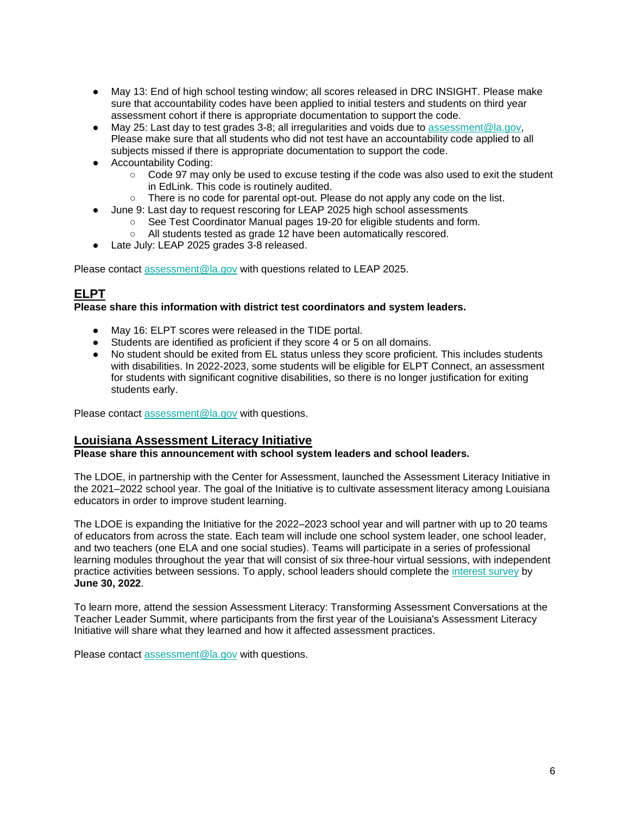- May 13: End of high school testing window; all scores released in DRC INSIGHT. Please make sure that accountability codes have been applied to initial testers and students on third year assessment cohort if there is appropriate documentation to support the code.
- $\bullet$  May 25: Last day to test grades 3-8; all irregularities and voids due to [assessment@la.gov,](mailto:assessment@la.gov) Please make sure that all students who did not test have an accountability code applied to all subjects missed if there is appropriate documentation to support the code.
- Accountability Coding:
	- Code 97 may only be used to excuse testing if the code was also used to exit the student in EdLink. This code is routinely audited.
	- There is no code for parental opt-out. Please do not apply any code on the list.
- June 9: Last day to request rescoring for LEAP 2025 high school assessments
	- See Test Coordinator Manual pages 19-20 for eligible students and form.
	- All students tested as grade 12 have been automatically rescored.
- Late July: LEAP 2025 grades 3-8 released.

Please contact [assessment@la.gov](mailto:assessment@la.gov) with questions related to LEAP 2025.

## **ELPT**

#### **Please share this information with district test coordinators and system leaders.**

- May 16: ELPT scores were released in the TIDE portal.
- Students are identified as proficient if they score 4 or 5 on all domains.
- No student should be exited from EL status unless they score proficient. This includes students with disabilities. In 2022-2023, some students will be eligible for ELPT Connect, an assessment for students with significant cognitive disabilities, so there is no longer justification for exiting students early.

Please contact [assessment@la.gov](mailto:assessment@la.gov) with questions.

### **Louisiana Assessment Literacy Initiative**

#### **Please share this announcement with school system leaders and school leaders.**

The LDOE, in partnership with the Center for Assessment, launched the Assessment Literacy Initiative in the 2021–2022 school year. The goal of the Initiative is to cultivate assessment literacy among Louisiana educators in order to improve student learning.

The LDOE is expanding the Initiative for the 2022–2023 school year and will partner with up to 20 teams of educators from across the state. Each team will include one school system leader, one school leader, and two teachers (one ELA and one social studies). Teams will participate in a series of professional learning modules throughout the year that will consist of six three-hour virtual sessions, with independent practic[e](https://docs.google.com/forms/d/e/1FAIpQLSc8wPVFqk3Qb062CCda0bGbANSellkZSzrizltgLqMdvPPreQ/viewform?usp=sf_link) activities between sessions. To apply, school leaders should complete the [interest survey](https://docs.google.com/forms/d/e/1FAIpQLSc8wPVFqk3Qb062CCda0bGbANSellkZSzrizltgLqMdvPPreQ/viewform?usp=sf_link) by **June 30, 2022**.

To learn more, attend the session Assessment Literacy: Transforming Assessment Conversations at the Teacher Leader Summit, where participants from the first year of the Louisiana's Assessment Literacy Initiative will share what they learned and how it affected assessment practices.

Please contact [assessment@la.gov](mailto:assessment@la.gov) with questions.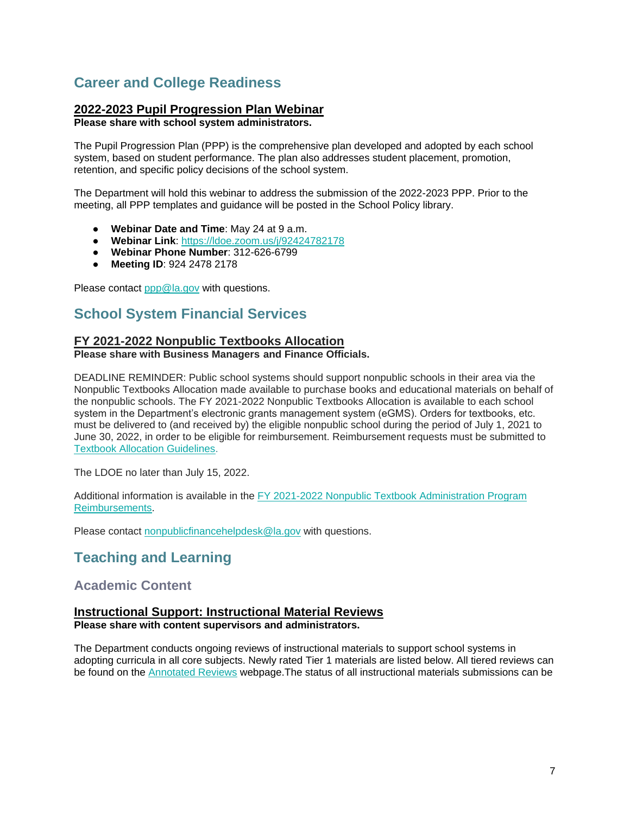## <span id="page-7-0"></span>**Career and College Readiness**

### **2022-2023 Pupil Progression Plan Webinar**

**Please share with school system administrators.**

The Pupil Progression Plan (PPP) is the comprehensive plan developed and adopted by each school system, based on student performance. The plan also addresses student placement, promotion, retention, and specific policy decisions of the school system.

The Department will hold this webinar to address the submission of the 2022-2023 PPP. Prior to the meeting, all PPP templates and guidance will be posted in the School Policy library.

- **Webinar Date and Time**: May 24 at 9 a.m.
- **Webinar Link**: [https://ldoe.zoom.us/j/92424782178](https://ldoe.zoom.us/j/92424782178?pwd=M281V1ZXdElaTHNUcnRtaWxBbE5WZz09)
- **Webinar Phone Number**: 312-626-6799
- **Meeting ID**: 924 2478 2178

Please contact [ppp@la.gov](mailto:ppp@la.gov) with questions.

## <span id="page-7-1"></span>**School System Financial Services**

## **FY 2021-2022 Nonpublic Textbooks Allocation**

#### **Please share with Business Managers and Finance Officials.**

DEADLINE REMINDER: Public school systems should support nonpublic schools in their area via the Nonpublic Textbooks Allocation made available to purchase books and educational materials on behalf of the nonpublic schools. The FY 2021-2022 Nonpublic Textbooks Allocation is available to each school system in the Department's electronic grants management system (eGMS). Orders for textbooks, etc. must be delivered to (and received by) the eligible nonpublic school during the period of July 1, 2021 to June 30, 2022, in order to be eligible for reimbursement. Reimbursement requests must be submitted to [Textbook Allocation Guidelines.](https://www.louisianabelieves.com/docs/default-source/links-for-newsletters/fy2021-22-nonpublic-textbook-allocation-guidelines-for-leas.pdf)

The LDOE no later than July 15, 2022.

Additional information is available in th[e](https://www.louisianabelieves.com/docs/default-source/links-for-newsletters/fy2021-22-nonpublic-textbook-allocation-guidelines-for-leas.pdf) [FY 2021-2022 Nonpublic Textbook Administration Program](https://www.louisianabelieves.com/docs/default-source/links-for-newsletters/fy2021-22-nonpublic-textbook-allocation-guidelines-for-leas.pdf)  [Reimbursements.](https://www.louisianabelieves.com/docs/default-source/links-for-newsletters/fy2021-22-nonpublic-textbook-allocation-guidelines-for-leas.pdf)

<span id="page-7-2"></span>Please contact [nonpublicfinancehelpdesk@la.gov](mailto:nonpublicfinancehelpdesk@la.gov) with questions.

## **Teaching and Learning**

## **Academic Content**

## **Instructional Support: Instructional Material Reviews**

**Please share with content supervisors and administrators.** 

The Department conducts ongoing reviews of instructional materials to support school systems in adopting curricula in all core subjects. Newly rated Tier 1 materials are listed below. All tiered reviews can be found on the [Annotated Reviews](http://www.louisianabelieves.com/academics/ONLINE-INSTRUCTIONAL-MATERIALS-REVIEWS/curricular-resources-annotated-reviews) webpage.The status of all instructional materials submissions can be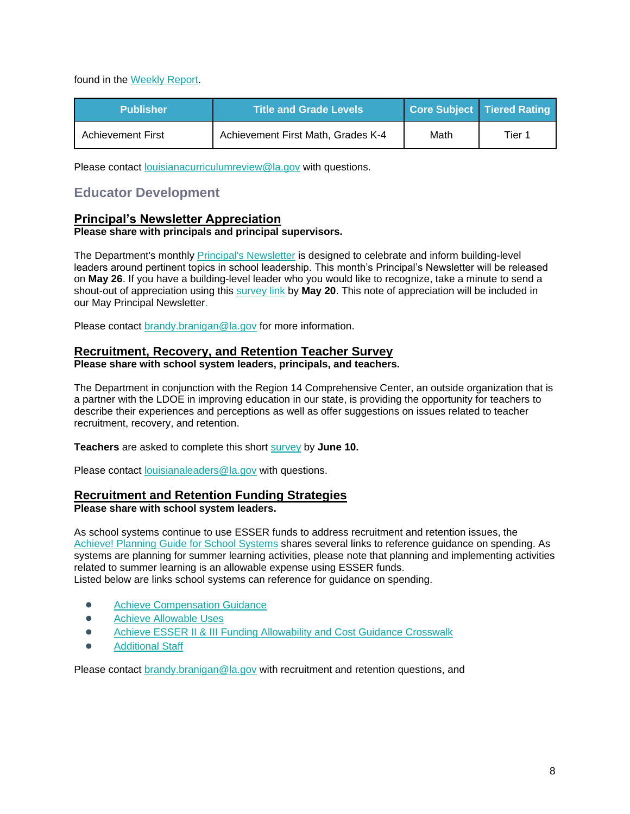found in the [Weekly Report.](https://www.louisianabelieves.com/docs/default-source/curricular-resources/online-instructional-materials-reviews.pdf?sfvrsn=a26b841f_654)

| <b>Publisher</b>  | <b>Title and Grade Levels</b>      |      | Core Subject Tiered Rating |
|-------------------|------------------------------------|------|----------------------------|
| Achievement First | Achievement First Math, Grades K-4 | Math | Tier 1                     |

Please contact [louisianacurriculumreview@la.gov](mailto:LouisianaCurriculumReview@la.gov) with questions.

## **Educator Development**

#### **Principal's Newsletter Appreciation Please share with principals and principal supervisors.**

The Department's monthl[y Principal's Newsletter](https://www.louisianabelieves.com/newsroom/newsletters) is designed to celebrate and inform building-level leaders around pertinent topics in school leadership. This month's Principal's Newsletter will be released on **May 26**. If you have a building-level leader who you would like to recognize, take a minute to send a shout-out of appreciation using this [survey link](https://forms.gle/azgHb6Tk9vLD4V5t8) by **May 20**. This note of appreciation will be included in our May Principal Newsletter.

Please contact [brandy.branigan@la.gov](mailto:brandy.branigan@la.gov) for more information.

## **Recruitment, Recovery, and Retention Teacher Survey**

**Please share with school system leaders, principals, and teachers.**

The Department in conjunction with the Region 14 Comprehensive Center, an outside organization that is a partner with the LDOE in improving education in our state, is providing the opportunity for teachers to describe their experiences and perceptions as well as offer suggestions on issues related to teacher recruitment, recovery, and retention.

**Teachers** are asked to complete this short [survey](https://survey.alchemer.com/s3/6839519/Region-14-CC-Teacher-Recruitment-Retention-and-Recovery-Survey) by **June 10.**

Please contact [louisianaleaders@la.gov](mailto:louisianaleaders@la.gov) with questions.

## **Recruitment and Retention Funding Strategies**

#### **Please share with school system leaders.**

As school systems continue to use ESSER funds to address recruitment and retention issues, the [Achieve! Planning Guide for School Systems](https://www.louisianabelieves.com/docs/default-source/operations/achieve!-planning-guidance.pdf?sfvrsn=25d36718_24) shares several links to reference guidance on spending. As systems are planning for summer learning activities, please note that planning and implementing activities related to summer learning is an allowable expense using ESSER funds. Listed below are links school systems can reference for guidance on spending.

- **[Achieve Compensation Guidance](https://www.louisianabelieves.com/docs/default-source/achieve/achieve!-compensation-guidance.pdf?sfvrsn=d4ce6718_8)**
- [Achieve Allowable](https://www.louisianabelieves.com/docs/default-source/operations/achieve!-allowable-uses-(esser-ii-funds).pdf?sfvrsn=ecd36718_14) Uses
- Achieve ESSER II & III Funding Allowability and Cost Guidance Crosswalk
- **[Additional Staff](https://www.louisianabelieves.com/docs/default-source/achieve/achieve!-hiring-investment-examples.pdf?sfvrsn=60fb6718_2)**

Please contact [brandy.branigan@la.gov](mailto:brandy.branigan@la.gov) with recruitment and retention questions, and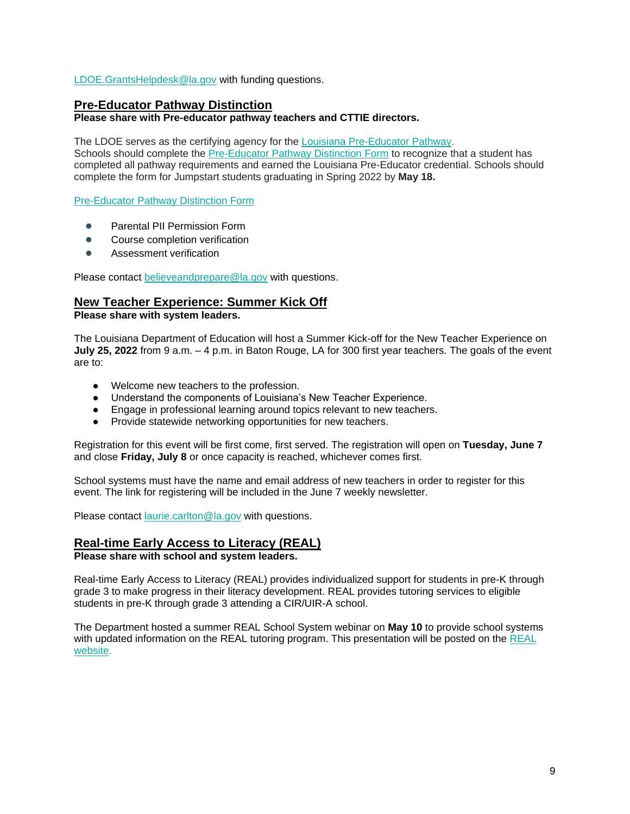#### [LDOE.GrantsHelpdesk@la.gov](mailto:LDOE.GrantsHelpdesk@la.gov) with funding questions.

#### **Pre-Educator Pathway Distinction**

#### **Please share with Pre-educator pathway teachers and CTTIE directors.**

The LDOE serves as the certifying agency for the [Louisiana Pre-Educator Pathway.](https://www.louisianabelieves.com/docs/default-source/js-graduation-pathways/pre-educator-pathway-brief---louisiana-pre-educator-pathway.pdf?sfvrsn=7c549d1f_18)

Schools should complete the [Pre-Educator Pathway Distinction Form](https://form.jotform.com/220096198837062) to recognize that a student has completed all pathway requirements and earned the Louisiana Pre-Educator credential. Schools should complete the form for Jumpstart students graduating in Spring 2022 by **May 18.**

[Pre-Educator Pathway Distinction Form](https://form.jotform.com/220096198837062) 

- Parental PII Permission Form
- Course completion verification
- Assessment verification

Please contact [believeandprepare@la.gov](mailto:believeandprepare@la.gov) with questions.

#### **New Teacher Experience: Summer Kick Off**

**Please share with system leaders.**

The Louisiana Department of Education will host a Summer Kick-off for the New Teacher Experience on **July 25, 2022** from 9 a.m. – 4 p.m. in Baton Rouge, LA for 300 first year teachers. The goals of the event are to:

- Welcome new teachers to the profession.
- Understand the components of Louisiana's New Teacher Experience.
- Engage in professional learning around topics relevant to new teachers.
- Provide statewide networking opportunities for new teachers.

Registration for this event will be first come, first served. The registration will open on **Tuesday, June 7**  and close **Friday, July 8** or once capacity is reached, whichever comes first.

School systems must have the name and email address of new teachers in order to register for this event. The link for registering will be included in the June 7 weekly newsletter.

Please contact [laurie.carlton@la.gov](mailto:laurie.carlton@la.gov) with questions.

#### **Real-time Early Access to Literacy (REAL) Please share with school and system leaders.**

Real-time Early Access to Literacy (REAL) provides individualized support for students in pre-K through grade 3 to make progress in their literacy development. REAL provides tutoring services to eligible students in pre-K through grade 3 attending a CIR/UIR-A school.

The Department hosted a summer REAL School System webinar on **May 10** to provide school systems with updated information on the [REAL](https://www.louisianabelieves.com/academics/real-time-early-access-to-literacy) tutoring program. This presentation will be posted on the REAL [website.](https://www.louisianabelieves.com/academics/real-time-early-access-to-literacy)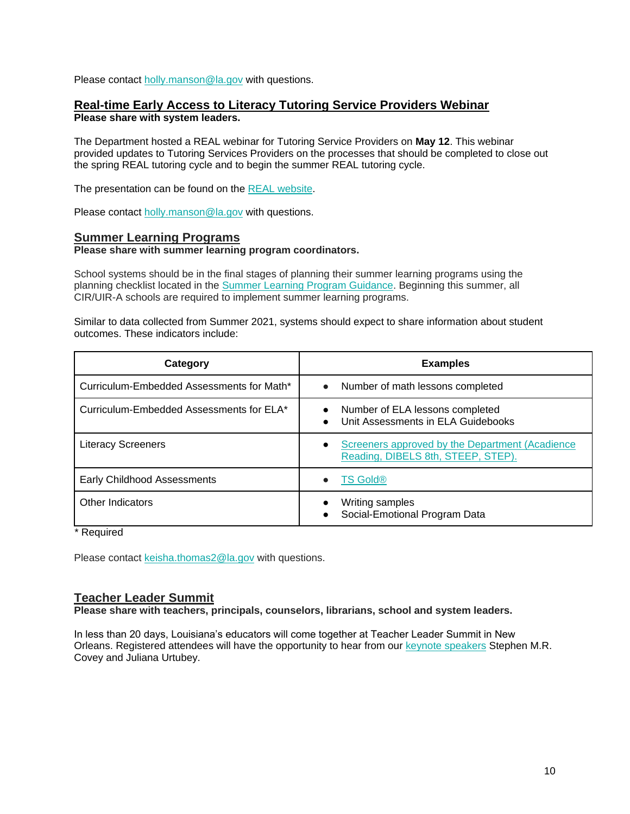Please contact holly.manson@la.gov with questions.

#### **Real-time Early Access to Literacy Tutoring Service Providers Webinar Please share with system leaders.**

The Department hosted a REAL webinar for Tutoring Service Providers on **May 12**. This webinar provided updates to Tutoring Services Providers on the processes that should be completed to close out the spring REAL tutoring cycle and to begin the summer REAL tutoring cycle.

The presentation can be found on the [REAL website.](https://www.louisianabelieves.com/academics/real-time-early-access-to-literacy)

Please contact holly.manson@la.gov with questions.

#### **Summer Learning Programs**

#### **Please share with summer learning program coordinators.**

School systems should be in the final stages of planning their summer learning programs using the planning checklist located in th[e](https://www.louisianabelieves.com/docs/default-source/academics/summer-learning-program-guidance-2021.pdf?sfvrsn=9f5a6618_2) [Summer Learning Program Guidance.](https://www.louisianabelieves.com/docs/default-source/academics/summer-learning-program-guidance-2021.pdf?sfvrsn=9f5a6618_2) Beginning this summer, all CIR/UIR-A schools are required to implement summer learning programs.

Similar to data collected from Summer 2021, systems should expect to share information about student outcomes. These indicators include:

| Category                                  | <b>Examples</b>                                                                                    |
|-------------------------------------------|----------------------------------------------------------------------------------------------------|
| Curriculum-Embedded Assessments for Math* | Number of math lessons completed<br>$\bullet$                                                      |
| Curriculum-Embedded Assessments for ELA*  | Number of ELA lessons completed<br>Unit Assessments in ELA Guidebooks<br>$\bullet$                 |
| <b>Literacy Screeners</b>                 | Screeners approved by the Department (Acadience<br>$\bullet$<br>Reading, DIBELS 8th, STEEP, STEP). |
| Early Childhood Assessments               | <b>TS Gold®</b>                                                                                    |
| Other Indicators                          | Writing samples<br>Social-Emotional Program Data                                                   |

\* Required

Please contact [keisha.thomas2@la.gov](mailto:Keisha.Thomas2@la.gov) with questions.

#### **Teacher Leader Summit**

**Please share with teachers, principals, counselors, librarians, school and system leaders.** 

In less than 20 days, Louisiana's educators will come together at Teacher Leader Summit in New Orleans. Registered attendees will have the opportunity to hear from our [keynote speakers](https://www.louisianabelieves.com/docs/default-source/2022-teacher-leader-summit/keynote-speakers---tl-summit-2022.pdf) Stephen M.R. Covey and Juliana Urtubey.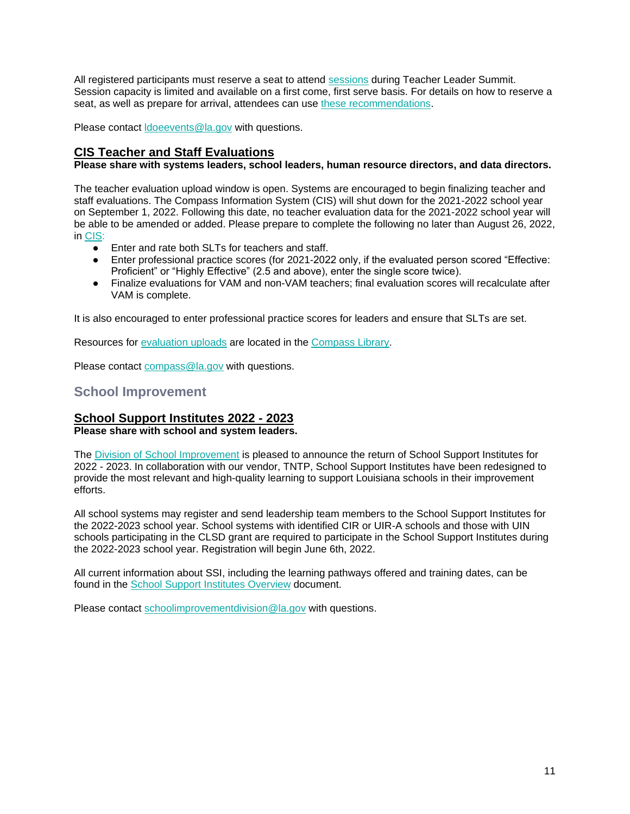All registered participants must reserve a seat to attend [sessions](https://whova.com/embedded/event/i6u0jc%2FHaQPA8X9JKRdO22%2FvxgNOBGeJNdxPWRzFISM%3D/?utc_source=ems) during Teacher Leader Summit. Session capacity is limited and available on a first come, first serve basis. For details on how to reserve a seat, as well as prepare for arrival, attendees can use [these recommendations.](https://www.louisianabelieves.com/docs/default-source/2022-teacher-leader-summit/prepare-for-arrival---tl-summit-2022.pdf)

Please contact [ldoeevents@la.gov](mailto:LDOEevents@la.gov) with questions.

### **CIS Teacher and Staff Evaluations**

#### **Please share with systems leaders, school leaders, human resource directors, and data directors.**

The teacher evaluation upload window is open. Systems are encouraged to begin finalizing teacher and staff evaluations. The Compass Information System (CIS) will shut down for the 2021-2022 school year on September 1, 2022. Following this date, no teacher evaluation data for the 2021-2022 school year will be able to be amended or added. Please prepare to complete the following no later than August 26, 2022, in [CIS:](https://leads13.doe.louisiana.gov/hcs/FrameWork.aspx)

- Enter and rate both SLTs for teachers and staff.
- Enter professional practice scores (for 2021-2022 only, if the evaluated person scored "Effective: Proficient" or "Highly Effective" (2.5 and above), enter the single score twice).
- Finalize evaluations for VAM and non-VAM teachers; final evaluation scores will recalculate after VAM is complete.

It is also encouraged to enter professional practice scores for leaders and ensure that SLTs are set.

Resources for [evaluation uploads](https://www.louisianabelieves.com/docs/default-source/teaching/compass-information-system-evaluation-upload-guide.pdf?sfvrsn=2c216718_8) are located in the [Compass Library.](https://www.louisianabelieves.com/resources/library/compass)

Please contact [compass@la.gov](mailto:compass@la.gov) with questions.

## <span id="page-11-0"></span>**School Improvement**

### **School Support Institutes 2022 - 2023**

**Please share with school and system leaders.**

The [Division of School Improvement](https://www.louisianabelieves.com/schools/school-improvement) is pleased to announce the return of School Support Institutes for 2022 - 2023. In collaboration with our vendor, TNTP, School Support Institutes have been redesigned to provide the most relevant and high-quality learning to support Louisiana schools in their improvement efforts.

All school systems may register and send leadership team members to the School Support Institutes for the 2022-2023 school year. School systems with identified CIR or UIR-A schools and those with UIN schools participating in the CLSD grant are required to participate in the School Support Institutes during the 2022-2023 school year. Registration will begin June 6th, 2022.

All current information about SSI, including the learning pathways offered and training dates, can be found in the [School Support Institutes Overview](https://www.louisianabelieves.com/docs/default-source/district-support/school-support-institutes-overview.pdf?sfvrsn=6f16991f_8) document.

Please contact [schoolimprovementdivision@la.gov](mailto:schoolimprovementdivision@la.gov) with questions.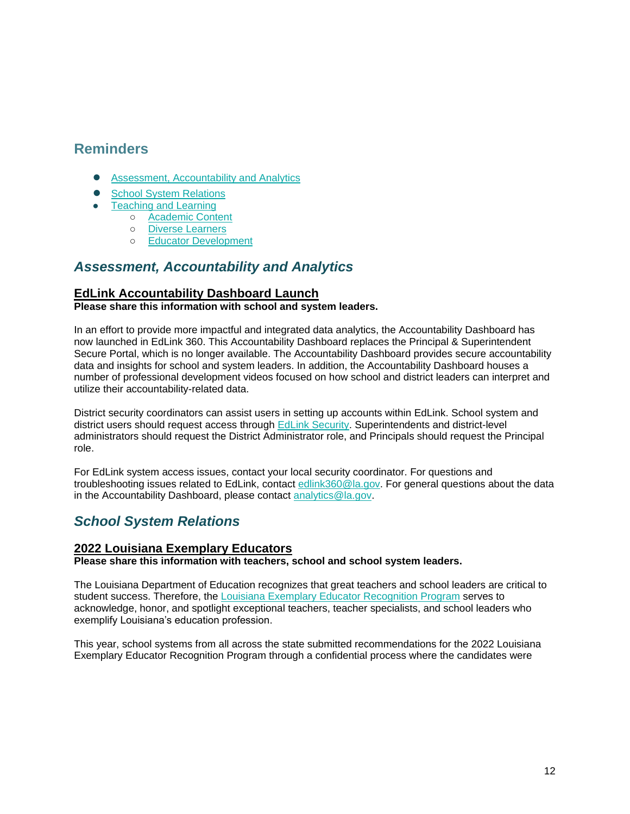## <span id="page-12-0"></span>**Reminders**

- [Assessment, Accountability and Analytics](#page-12-1)
- [School System Relations](#page-12-2)
- [Teaching and Learning](#page-13-2)
	- [Academic Content](#page-13-0)
	- [Diverse Learners](#page-13-3)
	- [Educator Development](#page-13-1)

## <span id="page-12-1"></span>*Assessment, Accountability and Analytics*

## **EdLink Accountability Dashboard Launch**

#### **Please share this information with school and system leaders.**

In an effort to provide more impactful and integrated data analytics, the Accountability Dashboard has now launched in EdLink 360. This Accountability Dashboard replaces the Principal & Superintendent Secure Portal, which is no longer available. The Accountability Dashboard provides secure accountability data and insights for school and system leaders. In addition, the Accountability Dashboard houses a number of professional development videos focused on how school and district leaders can interpret and utilize their accountability-related data.

District security coordinators can assist users in setting up accounts within EdLink. School system and district users should request access through [EdLink Security.](https://leads13.doe.louisiana.gov/lug/Security-EdLink/EdLinkSecurity.htm) Superintendents and district-level administrators should request the District Administrator role, and Principals should request the Principal role.

For EdLink system access issues, contact your local security coordinator. For questions and troubleshooting issues related to EdLink, contact [edlink360@la.gov.](mailto:edlink360@la.gov) For general questions about the data in the Accountability Dashboard, please contact [analytics@la.gov.](mailto:analytics@la.gov)

## <span id="page-12-2"></span>*School System Relations*

### **2022 Louisiana Exemplary Educators**

**Please share this information with teachers, school and school system leaders.**

The Louisiana Department of Education recognizes that great teachers and school leaders are critical to student success. Therefore, the [Louisiana Exemplary Educator Recognition Program](https://www.louisianabelieves.com/docs/default-source/key-initiatives/louisiana) serves to acknowledge, honor, and spotlight exceptional teachers, teacher specialists, and school leaders who exemplify Louisiana's education profession.

This year, school systems from all across the state submitted recommendations for the 2022 Louisiana Exemplary Educator Recognition Program through a confidential process where the candidates were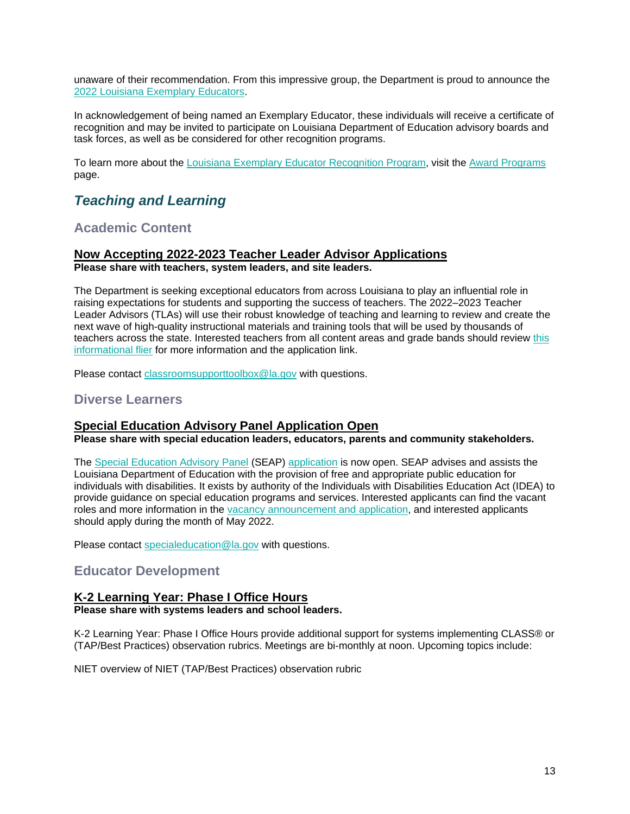unaware of their recommendation. From this impressive group, the Department is proud to announce the [2022 Louisiana Exemplary Educators.](https://www.louisianabelieves.com/docs/default-source/awards/2022-louisiana-exemplary-educators-announcement.pdf)

In acknowledgement of being named an Exemplary Educator, these individuals will receive a certificate of recognition and may be invited to participate on Louisiana Department of Education advisory boards and task forces, as well as be considered for other recognition programs.

To learn more about the [Louisiana Exemplary Educator Recognition Program,](https://www.louisianabelieves.com/docs/default-source/key-initiatives/louisiana) visit the [Award Programs](https://www.louisianabelieves.com/academics/award-programs) page.

## <span id="page-13-2"></span>*Teaching and Learning*

## <span id="page-13-0"></span>**Academic Content**

#### **Now Accepting 2022-2023 Teacher Leader Advisor Applications Please share with teachers, system leaders, and site leaders.**

The Department is seeking exceptional educators from across Louisiana to play an influential role in raising expectations for students and supporting the success of teachers. The 2022–2023 Teacher Leader Advisors (TLAs) will use their robust knowledge of teaching and learning to review and create the next wave of high-quality instructional materials and training tools that will be used by thousands of teachers across the state. Interested teachers from all content areas and grade bands should review [this](https://www.louisianabelieves.com/docs/default-source/louisiana-teacher-leaders/teacher-leader-advisor-flyer.pdf)  [informational flier](https://www.louisianabelieves.com/docs/default-source/louisiana-teacher-leaders/teacher-leader-advisor-flyer.pdf) for more information and the application link.

Please contact [classroomsupporttoolbox@la.gov](mailto:ClassroomSupportToolbox@la.gov) with questions.

## <span id="page-13-3"></span>**Diverse Learners**

### **Special Education Advisory Panel Application Open**

**Please share with special education leaders, educators, parents and community stakeholders.**

The [Special Education Advisory Panel](https://www.louisianabelieves.com/docs/default-source/academics/special-education-advisory-panel-(seap)-overview.pdf?sfvrsn=8bfd891f_42) (SEAP) [application](https://www.louisianabelieves.com/docs/default-source/students-with-disabilities/seap-member-vacancy-announcement-and-application.pdf?sfvrsn=4ea76618_12) is now open. SEAP advises and assists the Louisiana Department of Education with the provision of free and appropriate public education for individuals with disabilities. It exists by authority of the Individuals with Disabilities Education Act (IDEA) to provide guidance on special education programs and services. Interested applicants can find the vacant roles and more information in the [vacancy announcement and application,](https://www.louisianabelieves.com/docs/default-source/students-with-disabilities/seap-member-vacancy-announcement-and-application.pdf?sfvrsn=4ea76618_12) and interested applicants should apply during the month of May 2022.

Please contact [specialeducation@la.gov](mailto:specialeducation@la.gov) with questions.

## <span id="page-13-1"></span>**Educator Development**

### **K-2 Learning Year: Phase I Office Hours**

**Please share with systems leaders and school leaders.**

K-2 Learning Year: Phase I Office Hours provide additional support for systems implementing CLASS® or (TAP/Best Practices) observation rubrics. Meetings are bi-monthly at noon. Upcoming topics include:

NIET overview of NIET (TAP/Best Practices) observation rubric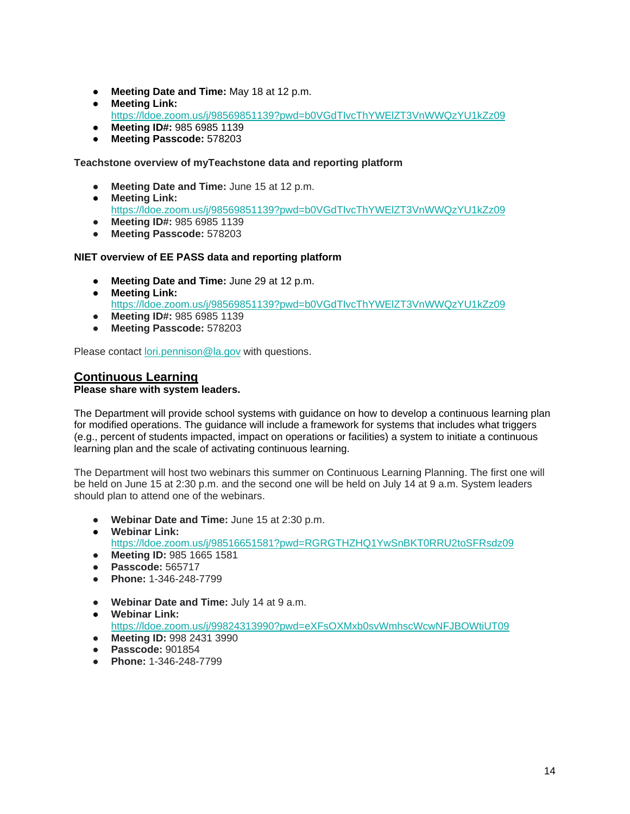- **Meeting Date and Time:** May 18 at 12 p.m.
- **Meeting Link:**  <https://ldoe.zoom.us/j/98569851139?pwd=b0VGdTIvcThYWElZT3VnWWQzYU1kZz09>
- **Meeting ID#:** 985 6985 1139
- **Meeting Passcode:** 578203

**Teachstone overview of myTeachstone data and reporting platform** 

- **Meeting Date and Time:** June 15 at 12 p.m.
- **Meeting Link:**  <https://ldoe.zoom.us/j/98569851139?pwd=b0VGdTIvcThYWElZT3VnWWQzYU1kZz09>
- **Meeting ID#:** 985 6985 1139
- **Meeting Passcode:** 578203

#### **NIET overview of EE PASS data and reporting platform**

- **Meeting Date and Time:** June 29 at 12 p.m.
- **Meeting Link:**  <https://ldoe.zoom.us/j/98569851139?pwd=b0VGdTIvcThYWElZT3VnWWQzYU1kZz09> ● **Meeting ID#:** 985 6985 1139
- **Meeting Passcode:** 578203

Please contact [lori.pennison@la.gov](mailto:lori.pennison@la.gov) with questions.

## **Continuous Learning**

#### **Please share with system leaders.**

The Department will provide school systems with guidance on how to develop a continuous learning plan for modified operations. The guidance will include a framework for systems that includes what triggers (e.g., percent of students impacted, impact on operations or facilities) a system to initiate a continuous learning plan and the scale of activating continuous learning.

The Department will host two webinars this summer on Continuous Learning Planning. The first one will be held on June 15 at 2:30 p.m. and the second one will be held on July 14 at 9 a.m. System leaders should plan to attend one of the webinars.

- **Webinar Date and Time:** June 15 at 2:30 p.m.
- **Webinar Link[:](https://ldoe.zoom.us/j/98516651581?pwd=RGRGTHZHQ1YwSnBKT0RRU2toSFRsdz09)** <https://ldoe.zoom.us/j/98516651581?pwd=RGRGTHZHQ1YwSnBKT0RRU2toSFRsdz09>
- **Meeting ID:** 985 1665 1581
- **Passcode:** 565717
- **Phone:** 1-346-248-7799
- **Webinar Date and Time:** July 14 at 9 a.m.
- **Webinar Link:** <https://ldoe.zoom.us/j/99824313990?pwd=eXFsOXMxb0svWmhscWcwNFJBOWtiUT09> ● **Meeting ID:** 998 2431 3990
- **Passcode:** 901854
- **Phone:** 1-346-248-7799